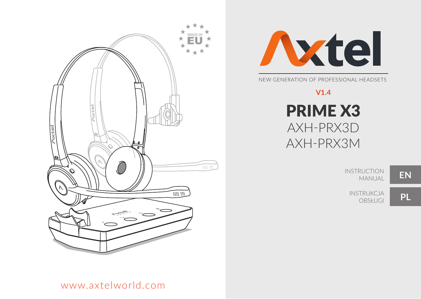



NEW GENERATION OF PROFESSIONAL HEADSETS

**V1.4**

# PRIME X3 AXH-PRX3D AXH-PRX3M

INSTRUCTION MANUAL **EN**

INSTRUKCJA OBSŁUGI

**PL PL**

# www.axtelworld.com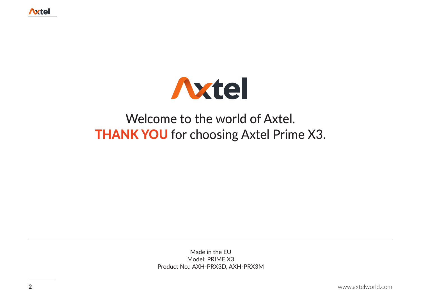

# Welcome to the world of Axtel. **THANK YOU** for choosing Axtel Prime X3.

Made in the EU Model: PRIME X3 Product No.: AXH-PRX3D, AXH-PRX3M

**2** www.axtelworld.com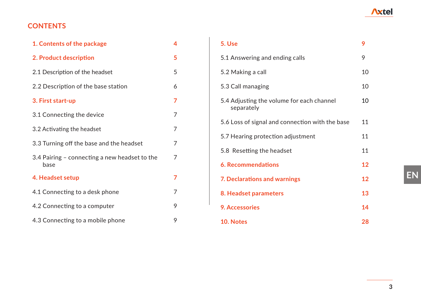## **CONTENTS**

| 1. Contents of the package                            | 4 |
|-------------------------------------------------------|---|
| 2. Product description                                | 5 |
| 2.1 Description of the headset                        | 5 |
| 2.2 Description of the base station                   | 6 |
| 3. First start-up                                     | 7 |
| 3.1 Connecting the device                             | 7 |
| 3.2 Activating the headset                            | 7 |
| 3.3 Turning off the base and the headset              | 7 |
| 3.4 Pairing - connecting a new headset to the<br>base | 7 |
| 4. Headset setup                                      | 7 |
| 4.1 Connecting to a desk phone                        | 7 |
| 4.2 Connecting to a computer                          | 9 |
| 4.3 Connecting to a mobile phone                      | 9 |

| 5. Use                                                  | 9  |
|---------------------------------------------------------|----|
| 5.1 Answering and ending calls                          | 9  |
| 5.2 Making a call                                       | 10 |
| 5.3 Call managing                                       | 10 |
| 5.4 Adjusting the volume for each channel<br>separately | 10 |
| 5.6 Loss of signal and connection with the base         | 11 |
| 5.7 Hearing protection adjustment                       | 11 |
| 5.8 Resetting the headset                               | 11 |
| 6. Recommendations                                      | 12 |
| 7. Declarations and warnings                            | 12 |
| 8. Headset parameters                                   | 13 |
| 9. Accessories                                          | 14 |
| 10. Notes                                               | 28 |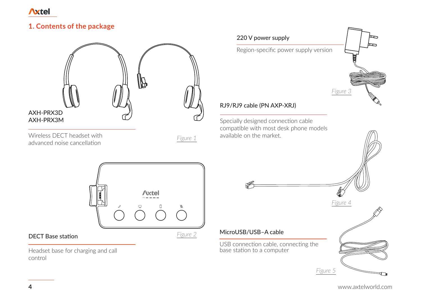

### **1. Contents of the package**



Wireless DECT headset with advanced noise cancellation

*Figure 1*

*Figure 2*

**Axtel** 



Headset base for charging and call control

DECT Base station

**4** www.axtelworld.com

*Figure 5*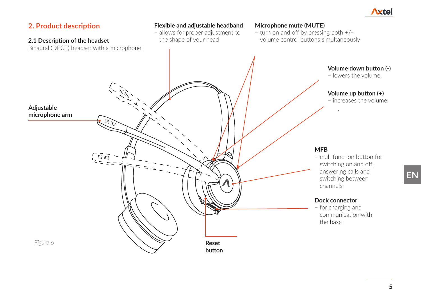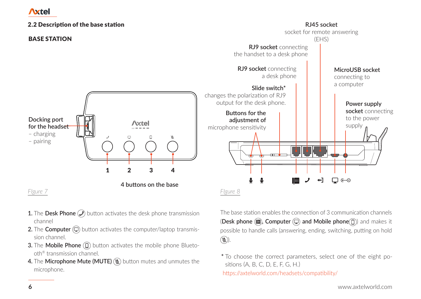

- **1.** The **Desk Phone**  $\Omega$  button activates the desk phone transmission channel
- **2.** The **Computer**  $\textcircled{C}$  button activates the computer/laptop transmission channel.
- **3.** The **Mobile Phone**  $\textcircled{1}$  button activates the mobile phone Bluetooth® transmission channel.
- **4.** The **Microphone Mute (MUTE)** button mutes and unmutes the microphone.

The base station enables the connection of 3 communication channels (**Desk phone , Computer and Mobile phone** ) and makes it possible to handle calls (answering, ending, switching, putting on hold  $\mathbb{R}$ ).

**\*** To choose the correct parameters, select one of the eight positions (A, B, C, D, E, F, G, H.) https://axtelworld.com/headsets/compatibility/

**6** www.axtelworld.com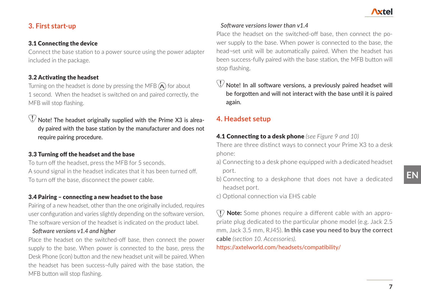### **3. First start-up**

### 3.1 Connecting the device

Connect the base station to a power source using the power adapter included in the package.

### 3.2 Activating the headset

Turning on the headset is done by pressing the MFB  $\Omega$  for about 1 second. When the headset is switched on and paired correctly, the MFB will stop flashing.

 $\mathbb{U}$  Notel The headset originally supplied with the Prime X3 is already paired with the base station by the manufacturer and does not require pairing procedure.

### 3.3 Turning off the headset and the base

To turn off the headset, press the MFB for 5 seconds. A sound signal in the headset indicates that it has been turned off. To turn off the base, disconnect the power cable.

### 3.4 Pairing – connecting a new headset to the base

Pairing of a new headset, other than the one originally included, requires user configuration and varies slightly depending on the software version. The software version of the headset is indicated on the product label.

### *Software versions v1.4 and higher*

Place the headset on the switched-off base, then connect the power supply to the base. When power is connected to the base, press the Desk Phone (icon) button and the new headset unit will be paired. When the headset has been success¬fully paired with the base station, the MFB button will stop flashing.

### *Software versions lower than v1.4*

Place the headset on the switched-off base, then connect the power supply to the base. When power is connected to the base, the head¬set unit will be automatically paired. When the headset has been success-fully paired with the base station, the MFB button will stop flashing.

 $\mathbb U$  Note! In all software versions, a previously paired headset will be forgotten and will not interact with the base until it is paired again.

## **4. Headset setup**

### 4.1 Connecting to a desk phone *(see Figure 9 and 10)*

There are three distinct ways to connect your Prime X3 to a desk phone:

- a) Connecting to a desk phone equipped with a dedicated headset port.
- b) Connecting to a deskphone that does not have a dedicated headset port.
- c) Optional connection via EHS cable

**Note:** Some phones require a different cable with an appropriate plug dedicated to the particular phone model (e.g. Jack 2.5 mm, Jack 3.5 mm, RJ45). In this case you need to buy the correct cable *(section 10. Accessories).*

https://axtelworld.com/headsets/compatibility/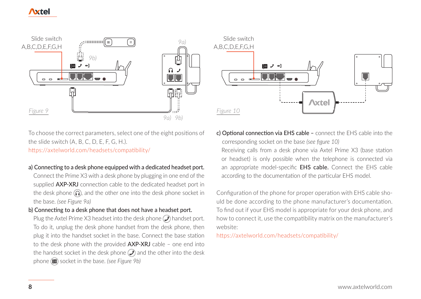

To choose the correct parameters, select one of the eight positions of the slide switch (A, B, C, D, E, F, G, H.). https://axtelworld.com/headsets/compatibility/

- a) Connecting to a desk phone equipped with a dedicated headset port. Connect the Prime X3 with a desk phone by plugging in one end of the supplied **AXP-XRJ** connection cable to the dedicated headset port in the desk phone  $\textcircled{1}$ , and the other one into the desk phone socket in the base. *(see Figure 9a)*
- b) Connecting to a desk phone that does not have a headset port. Plug the Axtel Prime X3 headset into the desk phone  $\mathcal O$  handset port. To do it, unplug the desk phone handset from the desk phone, then plug it into the handset socket in the base. Connect the base station to the desk phone with the provided AXP-XRJ cable – one end into the handset socket in the desk phone  $\mathcal O$  and the other into the desk phone ( $\textcircled{\textbf{H}}$ ) socket in the base. *(see Figure 9b)*



c) Optional connection via EHS cable – connect the EHS cable into the corresponding socket on the base *(see figure 10)* 

Receiving calls from a desk phone via Axtel Prime X3 (base station or headset) is only possible when the telephone is connected via an appropriate model-specific EHS cable. Connect the EHS cable according to the documentation of the particular EHS model.

Configuration of the phone for proper operation with EHS cable should be done according to the phone manufacturer's documentation. To find out if your EHS model is appropriate for your desk phone, and how to connect it, use the compatibility matrix on the manufacturer's website:

https://axtelworld.com/headsets/compatibility/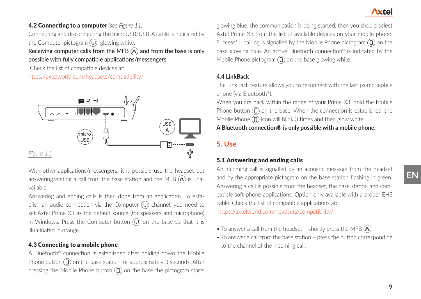# **lxte**

### 4.2 Connecting to a computer *(see Figure 11)* Connecting and disconnecting the microUSB/USB-A cable is indicated by the Computer pictogram  $\textcircled{Q}$  glowing white.

### Receiving computer calls from the MFB  $\widehat{A}$  and from the base is only possible with fully compatible applications/messengers.

Check the list of compatible devices at:

https://axtelworld.com/headsets/compatibility/



With other applications/messengers, it is possible use the headset but answering/ending a call from the base station and the MFB  $\widehat{N}$  is unavailable.

Answering and ending calls is then done from an application. To establish an audio connection via the Computer  $\bigcirc$  channel, you need to set Axtel Prime X3 as the default source (for speakers and microphone) in Windows. Press the Computer button  $\textcircled{1}$  on the base so that it is illuminated in orange.

### 4.3 Connecting to a mobile phone

A Bluetooth® connection is established after holding down the Mobile Phone button  $\left(\widehat{\Pi}\right)$  on the base station for approximately 3 seconds. After pressing the Mobile Phone button  $\textcircled{1}$  on the base the pictogram starts glowing blue, the communication is being started, then you should select Axtel Prime X3 from the list of available devices on your mobile phone. Successful pairing is signalled by the Mobile Phone pictogram  $\textcircled{1}$  on the base glowing blue. An active Bluetooth connection® is indicated by the Mobile Phone pictogram  $\textcircled{1}$  on the base glowing white.

### **4.4 LinkBack**

The LinkBack feature allows you to reconnect with the last paired mobile phone (via Bluetooth®).

When you are back within the range of your Prime X3, hold the Mobile Phone button  $\textcircled{1}$  on the base. When the connection is established, the Mobile Phone  $\widehat{(\Omega)}$  icon will blink 3 times and then glow white.

**A Bluetooth connection® is only possible with a mobile phone.** 

## **5. Use**

### 5.1 Answering and ending calls

An incoming call is signalled by an acoustic message from the headset and by the appropriate pictogram on the base station flashing in green. Answering a call is possible from the headset, the base station and compatible soft-phone applications. Option only available with a proper EHS cable. Check the list of compatible applications at: https://axtelworld.com/headsets/compatibility/

- To answer a call from the headset shortly press the MFB  $\Omega$ .
- To answer a call from the base station press the button corresponding to the channel of the incoming call.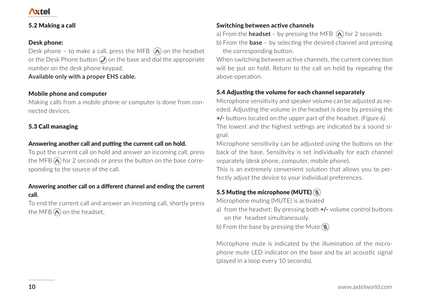### 5.2 Making a call

### **Desk phone:**

Desk phone - to make a call, press the MFB  $\Omega$  on the headset or the Desk Phone button  $\mathcal O$  on the base and dial the appropriate number on the desk phone keypad.

#### Available only with a proper EHS cable.

#### **Mobile phone and computer**

Making calls from a mobile phone or computer is done from connected devices.

### 5.3 Call managing

### **Answering another call and putting the current call on hold.**

To put the current call on hold and answer an incoming call, press the MFB  $\widehat{A}$  for 2 seconds or press the button on the base corresponding to the source of the call.

### **Answering another call on a different channel and ending the current call.**

To end the current call and answer an incoming call, shortly press the MFB  $\widehat{(\Lambda)}$  on the headset.

#### **Switching between active channels**

a) From the **headset** – by pressing the MFB  $(\widehat{A})$  for 2 seconds b) From the base – by selecting the desired channel and pressing the corresponding button.

When switching between active channels, the current connection will be put on hold. Return to the call on hold by repeating the above operation.

### 5.4 Adjusting the volume for each channel separately

Microphone sensitivity and speaker volume can be adjusted as needed. Adjusting the volume in the headset is done by pressing the +/- buttons located on the upper part of the headset. *(Figure 6)*. The lowest and the highest settings are indicated by a sound signal.

Microphone sensitivity can be adjusted using the buttons on the back of the base. Sensitivity is set individually for each channel separately (desk phone, computer, mobile phone).

This is an extremely convenient solution that allows you to perfectly adjust the device to your individual preferences.

### 5.5 Muting the microphone (MUTE)

Microphone muting (MUTE) is activated

a) from the headset: By pressing both +/- volume control buttons on the headset simultaneously.

b) From the base by pressing the Mute  $\mathcal{R}$ 

Microphone mute is indicated by the illumination of the microphone mute LED indicator on the base and by an acoustic signal (played in a loop every 10 seconds).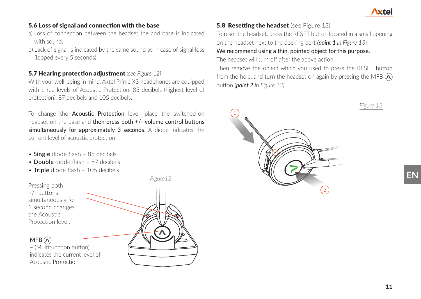### 5.6 Loss of signal and connection with the base

- a) Loss of connection between the headset the and base is indicated with sound.
- b) Lack of signal is indicated by the same sound as in case of signal loss (looped every 5 seconds)

### 5.7 Hearing protection adjustment *(see Figure 12)*

With your well-being in mind, Axtel Prime X3 headphones are equipped with three levels of Acoustic Protection: 85 decibels (highest level of protection), 87 decibels and 105 decibels.

To change the **Acoustic Protection** level, place the switched-on headset on the base and then press both +/- volume control buttons simultaneously for approximately 3 seconds. A diode indicates the current level of acoustic protection

- Single diode flash 85 decibels
- Double diode flash 87 decibels
- Triple diode flash 105 decibels

Pressing both  $+/-$  buttons simultaneously for 1 second changes the Acoustic Protection level.

## $MFB$   $\Omega$

– (Multifunction button) indicates the current level of Acoustic Protection



### **5.8 Resetting the headset** (see Figure 13)

To reset the headset, press the RESET button located in a small opening on the headset next to the docking port *(point 1 in Figure 13).*

### We recommend using a thin, pointed object for this purpose.

The headset will turn off after the above action.

Then remove the object which you used to press the RESET button from the hole, and turn the headset on again by pressing the MFB  $\widehat{(\Lambda)}$ button (*point 2 in Figure 13).*

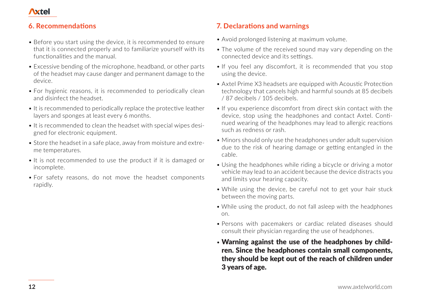### **6. Recommendations**

- Before you start using the device, it is recommended to ensure that it is connected properly and to familiarize yourself with its functionalities and the manual.
- Excessive bending of the microphone, headband, or other parts of the headset may cause danger and permanent damage to the device.
- For hygienic reasons, it is recommended to periodically clean and disinfect the headset.
- It is recommended to periodically replace the protective leather layers and sponges at least every 6 months.
- It is recommended to clean the headset with special wipes designed for electronic equipment.
- Store the headset in a safe place, away from moisture and extreme temperatures.
- It is not recommended to use the product if it is damaged or incomplete.
- For safety reasons, do not move the headset components rapidly.

### **7. Declarations and warnings**

- Avoid prolonged listening at maximum volume.
- The volume of the received sound may vary depending on the connected device and its settings.
- If you feel any discomfort, it is recommended that you stop using the device.
- Axtel Prime X3 headsets are equipped with Acoustic Protection technology that cancels high and harmful sounds at 85 decibels / 87 decibels / 105 decibels.
- If you experience discomfort from direct skin contact with the device, stop using the headphones and contact Axtel. Continued wearing of the headphones may lead to allergic reactions such as redness or rash.
- Minors should only use the headphones under adult supervision due to the risk of hearing damage or getting entangled in the cable.
- Using the headphones while riding a bicycle or driving a motor vehicle may lead to an accident because the device distracts you and limits your hearing capacity.
- While using the device, be careful not to get your hair stuck between the moving parts.
- While using the product, do not fall asleep with the headphones on.
- Persons with pacemakers or cardiac related diseases should consult their physician regarding the use of headphones.
- Warning against the use of the headphones by children. Since the headphones contain small components, they should be kept out of the reach of children under 3 years of age.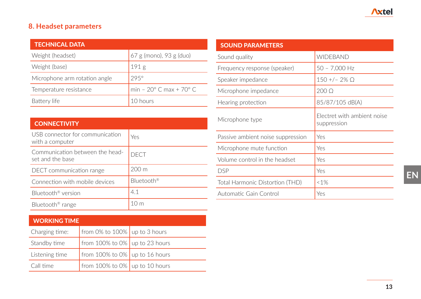### **8. Headset parameters**

| <b>TECHNICAL DATA</b>         |                                           |
|-------------------------------|-------------------------------------------|
| Weight (headset)              | 67 g (mono), 93 g (duo)                   |
| Weight (base)                 | 191 g                                     |
| Microphone arm rotation angle | 295°                                      |
| Temperature resistance        | min - $20^{\circ}$ C max + $70^{\circ}$ C |
| Battery life                  | 10 hours                                  |

| <b>CONNECTIVITY</b>                                 |                 |
|-----------------------------------------------------|-----------------|
| USB connector for communication<br>with a computer  | Yes             |
| Communication between the head-<br>set and the base | DECT            |
| DECT communication range                            | $200 \text{ m}$ |
| Connection with mobile devices                      | Bluetooth®      |
| Bluetooth <sup>®</sup> version                      | 4.1             |
| Bluetooth® range                                    | 10 <sub>m</sub> |

|  | <b>WORKING TIME</b> |  |  |
|--|---------------------|--|--|
|  |                     |  |  |
|  |                     |  |  |

| Charging time: | from 0% to 100% up to 3 hours  |  |
|----------------|--------------------------------|--|
| Standby time   | from 100% to 0% up to 23 hours |  |
| Listening time | from 100% to 0% up to 16 hours |  |
| Call time      | from 100% to 0% up to 10 hours |  |

| <b>SOUND PARAMETERS</b>           |                                            |
|-----------------------------------|--------------------------------------------|
| Sound quality                     | WIDEBAND                                   |
| Frequency response (speaker)      | 50 - 7,000 Hz                              |
| Speaker impedance                 | $150 + (-2\% \Omega)$                      |
| Microphone impedance              | 200O                                       |
| Hearing protection                | 85/87/105 dB(A)                            |
| Microphone type                   | Electret with ambient noise<br>suppression |
| Passive ambient noise suppression | Yes                                        |
| Microphone mute function          | Yes                                        |
| Volume control in the headset     | Yes                                        |
| <b>DSP</b>                        | Yes                                        |
| Total Harmonic Distortion (THD)   | < 1%                                       |
| Automatic Gain Control            | Yes                                        |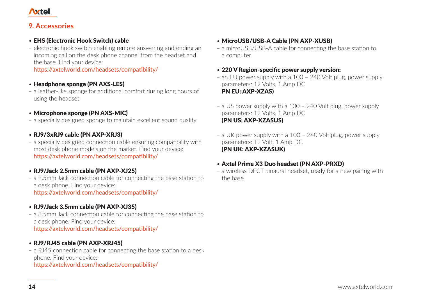### **9. Accessories**

#### • EHS (Electronic Hook Switch) cable

– electronic hook switch enabling remote answering and ending an incoming call on the desk phone channel from the headset and the base. Find your device:

https://axtelworld.com/headsets/compatibility/

### • Headphone sponge (PN AXS-LES)

– a leather-like sponge for additional comfort during long hours of using the headset

### • Microphone sponge (PN AXS-MIC)

– a specially designed sponge to maintain excellent sound quality

### • RJ9/3xRJ9 cable (PN AXP-XRJ3)

– a specially designed connection cable ensuring compatibility with most desk phone models on the market. Find your device: https://axtelworld.com/headsets/compatibility/

### • RJ9/Jack 2.5mm cable (PN AXP-XJ25)

– a 2.5mm Jack connection cable for connecting the base station to a desk phone. Find your device: https://axtelworld.com/headsets/compatibility/

### • RJ9/Jack 3.5mm cable (PN AXP-XJ35)

– a 3.5mm Jack connection cable for connecting the base station to a desk phone. Find your device: https://axtelworld.com/headsets/compatibility/

### • RJ9/RJ45 cable (PN AXP-XRJ45)

– a RJ45 connection cable for connecting the base station to a desk phone. Find your device: https://axtelworld.com/headsets/compatibility/

#### • MicroUSB/USB-A Cable (PN AXP-XUSB)

– a microUSB/USB-A cable for connecting the base station to a computer

#### • 220 V Region-specific power supply version:

– an EU power supply with a 100 – 240 Volt plug, power supply parameters: 12 Volts, 1 Amp DC

### PN EU: AXP-XZAS)

– a US power supply with a 100 – 240 Volt plug, power supply parameters: 12 Volts, 1 Amp DC

### (PN US: AXP-XZASUS)

– a UK power supply with a 100 – 240 Volt plug, power supply parameters: 12 Volt, 1 Amp DC (PN UK: AXP-XZASUK)

### • Axtel Prime X3 Duo headset (PN AXP-PRXD)

– a wireless DECT binaural headset, ready for a new pairing with the base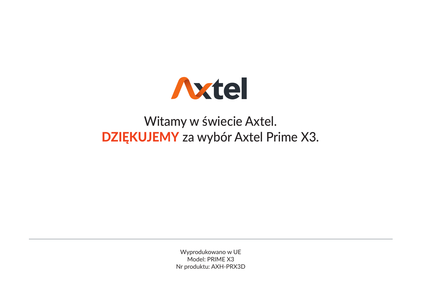

# Witamy w świecie Axtel. DZIĘKUJEMY za wybór Axtel Prime X3.

Wyprodukowano w UE Model: PRIME X3 Nr produktu: AXH-PRX3D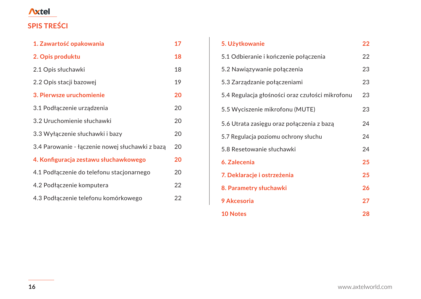# **SPIS TREŚCI**

| 1. Zawartość opakowania                         | 17 |
|-------------------------------------------------|----|
| 2. Opis produktu                                | 18 |
| 2.1 Opis słuchawki                              | 18 |
| 2.2 Opis stacji bazowej                         | 19 |
| 3. Pierwsze uruchomienie                        | 20 |
| 3.1 Podłączenie urządzenia                      | 20 |
| 3.2 Uruchomienie słuchawki                      | 20 |
| 3.3 Wyłączenie słuchawki i bazy                 | 20 |
| 3.4 Parowanie - łączenie nowej słuchawki z bazą | 20 |
| 4. Konfiguracja zestawu słuchawkowego           | 20 |
| 4.1 Podłączenie do telefonu stacjonarnego       | 20 |
| 4.2 Podłączenie komputera                       | 22 |
| 4.3 Podłączenie telefonu komórkowego            | 22 |
|                                                 |    |

| 5. Użytkowanie                                  | 22 |
|-------------------------------------------------|----|
| 5.1 Odbieranie i kończenie połączenia           | 22 |
| 5.2 Nawiązywanie połączenia                     | 23 |
| 5.3 Zarządzanie połączeniami                    | 23 |
| 5.4 Regulacja głośności oraz czułości mikrofonu | 23 |
| 5.5 Wyciszenie mikrofonu (MUTE)                 | 23 |
| 5.6 Utrata zasięgu oraz połączenia z bazą       | 24 |
| 5.7 Regulacja poziomu ochrony słuchu            | 24 |
| 5.8 Resetowanie słuchawki                       | 24 |
| 6. Zalecenia                                    | 25 |
| 7. Deklaracje i ostrzeżenia                     | 25 |
| 8. Parametry słuchawki                          | 26 |
| 9 Akcesoria                                     | 27 |
| <b>10 Notes</b>                                 | 28 |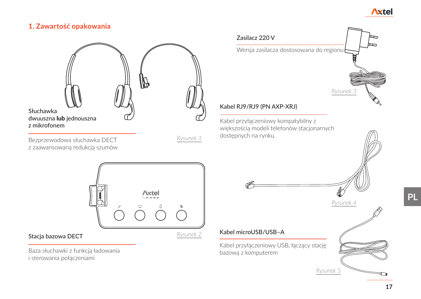### **1. Zawartość opakowania**



Bezprzewodowa słuchawka DECT z zaawansowaną redukcją szumów *Rysunek 1*



**PL**



### Stacia bazowa DECT

Baza słuchawki z funkcją ładowania i sterowania połączeniami

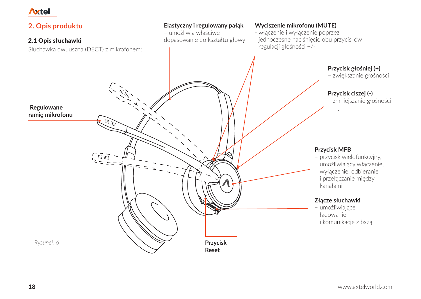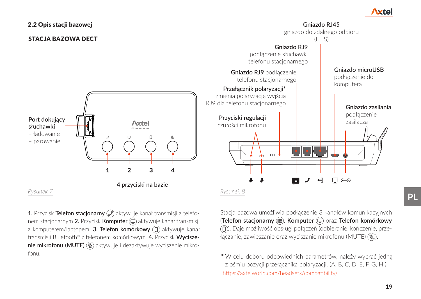### 2.2 Opis stacji bazowej

**Port dokujący słuchawki** – ładowanie – parowanie

#### STACJA BAZOWA DECT



1. Przycisk **Telefon stacjonarny a**ktywuje kanał transmisji z telefonem stacjonarnym 2. Przycisk **Komputer** (a) aktywuje kanał transmisji z komputerem/laptopem. **3. Telefon komórkowy** (III) aktywuje kanał transmisji Bluetooth® z telefonem komórkowym. **4.** Przycisk **Wyciszenie mikrofonu (MUTE)** aktywuje i dezaktywuje wyciszenie mikro-

**4 przyciski na bazie**

1 2 3 4

**Axtel** 

Stacja bazowa umożliwia podłączenie 3 kanałów komunikacyjnych **(Telefon stacjonarny (** $\mathbb{R}$ **), Komputer**  $\mathbb{Q}$ ) oraz **Telefon komórkowy** ). Daje możliwość obsługi połączeń (odbieranie, kończenie, przełączanie, zawieszanie oraz wyciszanie mikrofonu (MUTE) (

fonu. **\*** W celu doboru odpowiednich parametrów, należy wybrać jedną z ośmiu pozycji przełącznika polaryzacji. (A, B, C, D, E, F, G, H.) https://axtelworld.com/headsets/compatibility/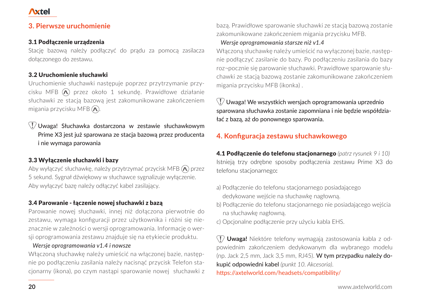### **3. Pierwsze uruchomienie**

### 3.1 Podłączenie urządzenia

Stacie bazowa należy podłączyć do prądu za pomocą zasilacza dołączonego do zestawu.

### 3.2 Uruchomienie słuchawki

Uruchomienie słuchawki następuje poprzez przytrzymanie przycisku MFB  $\widehat{A}$  przez około 1 sekundę. Prawidłowe działanie słuchawki ze stacją bazową jest zakomunikowane zakończeniem migania przycisku MFB $\Omega$ .

### Uwaga! Słuchawka dostarczona w zestawie słuchawkowym Prime X3 jest już sparowana ze stacja bazową przez producenta i nie wymaga parowania

### 3.3 Wyłączenie słuchawki i bazy

Aby wyłączyć słuchawkę, należy przytrzymać przycisk MFB  $\widehat{\Lambda}$  przez 5 sekund. Sygnał dźwiękowy w słuchawce sygnalizuje wyłączenie. Aby wyłączyć bazę należy odłączyć kabel zasilający.

### 3.4 Parowanie - łączenie nowej słuchawki z bazą

Parowanie nowej słuchawki, innej niż dołączona pierwotnie do zestawu, wymaga konfiguracji przez użytkownika i różni się nieznacznie w zależności o wersji oprogramowania. Informację o wersji oprogramowania zestawu znajduje się na etykiecie produktu.

#### *Wersje oprogramowania v1.4 i nowsze*

Włączoną słuchawkę należy umieścić na włączonej bazie, następnie po podłączeniu zasilania należy nacisnąć przycisk Telefon stacjonarny (ikona), po czym nastąpi sparowanie nowej słuchawki z

bazą. Prawidłowe sparowanie słuchawki ze stacia bazowa zostanie zakomunikowane zakończeniem migania przycisku MFB.

### *Wersje oprogramowania starsze niż v1.4*

Włączoną słuchawkę należy umieścić na wyłączonej bazie, następnie podłączyć zasilanie do bazy. Po podłączeniu zasilania do bazy roz¬pocznie się parowanie słuchawki. Prawidłowe sparowanie słuchawki ze stacją bazową zostanie zakomunikowane zakończeniem migania przycisku MFB (ikonka) .

Uwaga! We wszystkich wersjach oprogramowania uprzednio sparowana słuchawka zostanie zapomniana i nie będzie współdziałać z bazą, aż do ponownego sparowania.

### **4. Konfiguracja zestawu słuchawkowego**

4.1 Podłączenie do telefonu stacjonarnego *(patrz rysunek 9 i 10)* Istnieją trzy odrębne sposoby podłączenia zestawu Prime X3 do telefonu stacionarnego:

- a) Podłączenie do telefonu stacjonarnego posiadającego dedykowane wejście na słuchawkę nagłowną.
- b) Podłączenie do telefonu stacionarnego nie posiadającego wejścia na słuchawkę nagłowną.
- c) Opcjonalne podłączenie przy użyciu kabla EHS.

**Uwaga!** Niektóre telefony wymagają zastosowania kabla z odpowiednim zakończeniem dedykowanym dla wybranego modelu (np. Jack 2,5 mm, Jack 3,5 mm, RJ45). W tym przypadku należy dokupić odpowiedni kabel *(punkt 10. Akcesoria)*.

https://axtelworld.com/headsets/compatibility/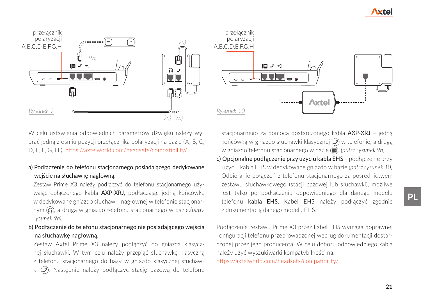

W celu ustawienia odpowiednich parametrów dźwięku należy wybrać jedną z ośmiu pozycji przełącznika polaryzacji na bazie (A, B, C, D, E, E, G, H.). https://axtelworld.com/headsets/compatibility/

### a) Podłaczenie do telefonu stacionarnego posiadającego dedykowane wejście na słuchawkę nagłowną.

Zestaw Prime X3 należy podłączyć do telefonu stacjonarnego używając dołączonego kabla AXP-XRJ, podłączając jedną końcówkę w dedykowane gniazdo słuchawki nagłownej w telefonie stacjonarnym  $\Omega$ , a druga w gniazdo telefonu stacionarnego w bazie.*(patrz rysunek 9a).* 

b) Podłączenie do telefonu stacjonarnego nie posiadającego wejścia na słuchawkę nagłowną.

Zestaw Axtel Prime X3 należy podłączyć do gniazda klasycznej słuchawki. W tym celu należy przepiąć słuchawkę klasyczną z telefonu stacjonarnego do bazy w gniazdo klasycznej słuchawki  $\Omega$ . Nastepnie należy podłaczyć stacie bazowa do telefonu



stacionarnego za pomoca dostarczonego kabla AXP-XRJ – jedną końcówką w gniazdo słuchawki klasycznej  $\mathcal{D}$ ) w telefonie, a drugą w gniazdo telefonu stacjonarnego w bazie . *(patrz rysunek 9b)*

c) Opcionalne podłączenie przy użyciu kabla EHS – podłączenie przy użyciu kabla EHS w dedykowane gniazdo w bazie *(patrz rysunek 10)* Odbieranie połączeń z telefonu stacjonarnego za pośrednictwem zestawu słuchawkowego (stacji bazowej lub słuchawki), możliwe jest tylko po podłączeniu odpowiedniego dla danego modelu telefonu kabla EHS. Kabel EHS należy podłączyć zgodnie z dokumentacją danego modelu EHS.

Podłączenie zestawu Prime X3 przez kabel EHS wymaga poprawnej konfiguracji telefonu przeprowadzonej według dokumentacji dostarczonej przez jego producenta. W celu doboru odpowiedniego kabla należy użyć wyszukiwarki kompatybilności na: https://axtelworld.com/headsets/compatibility/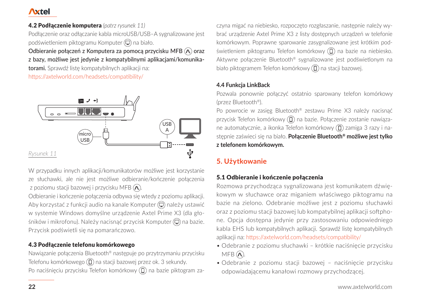4.2 Podłączenie komputera *(patrz rysunek 11)* Podłączenie oraz odłączanie kabla microUSB/USB–A sygnalizowane jest podświetleniem piktogramu Komputer (C) na biało.

Odbieranie połączeń z Komputera za pomocą przycisku MFB  $\textcircled{R}$  oraz z bazy, możliwe jest jedynie z kompatybilnymi aplikacjami/komunikatorami. Sprawdź listę kompatybilnych aplikacji na:

https://axtelworld.com/headsets/compatibility/



W przypadku innych aplikacji/komunikatorów możliwe jest korzystanie ze słuchawki, ale nie jest możliwe odbieranie/kończenie połączenia z poziomu stacji bazowej i przycisku MFB  $\widehat{(\Lambda)}$ .

Odbieranie i kończenie połączenia odbywa się wtedy z poziomu aplikacji. Aby korzystać z funkcji audio na kanale Komputer  $\bigcirc$  należy ustawić w systemie Windows domyślne urządzenie Axtel Prime X3 (dla głośników i mikrofonu). Należy nacisnąć przycisk Komputer  $\textcircled{1}$ na bazie. Przycisk podświetli się na pomarańczowo.

### 4.3 Podłączenie telefonu komórkowego

Nawiązanie połączenia Bluetooth® następuje po przytrzymaniu przycisku Telefonu komórkowego (na stacji bazowej przez ok. 3 sekundy. Po naciśnieciu przycisku Telefon komórkowy (D) na bazie piktogram zaczyna migać na niebiesko, rozpoczęto rozgłaszanie, następnie należy wybrać urządzenie Axtel Prime X3 z listy dostępnych urządzeń w telefonie komórkowym. Poprawne sparowanie zasygnalizowane jest krótkim podświetleniem piktogramu Telefon komórkowy (D) na bazie na niebiesko. Aktywne połączenie Bluetooth® sygnalizowane jest podświetlonym na biało piktogramem Telefon komórkowy (na stacji bazowej.

### **4.4 Funkcja LinkBack**

Pozwala ponownie połączyć ostatnio sparowany telefon komórkowy (przez Bluetooth®).

Po powrocie w zasięg Bluetooth® zestawu Prime X3 należy nacisnąć przycisk Telefon komórkowy (II) na bazie. Połączenie zostanie nawiązane automatycznie, a ikonka Telefon komórkowy (Q) zamiga 3 razy i następnie zaświeci się na biało. **Połączenie Bluetooth® możliwe jest tylko z telefonem komórkowym.** 

## **5. Użytkowanie**

### 5.1 Odbieranie i kończenie połączenia

Rozmowa przychodząca sygnalizowana jest komunikatem dźwiękowym w słuchawce oraz miganiem właściwego piktogramu na bazie na zielono. Odebranie możliwe jest z poziomu słuchawki oraz z poziomu stacji bazowej lub kompatybilnej aplikacji softphone. Opcja dostępna jedynie przy zastosowaniu odpowiedniego kabla EHS lub kompatybilnych aplikacji. Sprawdź listę kompatybilnych aplikacji na: https://axtelworld.com/headsets/compatibility/

- Odebranie z poziomu słuchawki krótkie naciśnięcie przycisku  $MFB$   $\Omega$ .
- Odebranie z poziomu stacji bazowej naciśnięcie przycisku odpowiadającemu kanałowi rozmowy przychodzącej.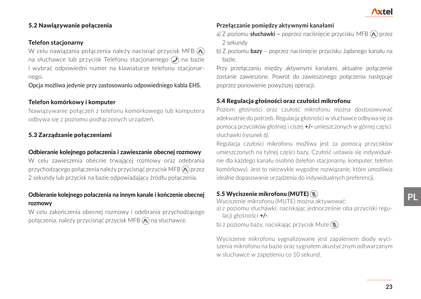### 5.2 Nawiązywanie połączenia

#### **Telefon stacjonarny**

W celu nawiązania połączenia należy nacisnąć przycisk MFB  $\widehat{A}$ na słuchawce lub przycisk Telefonu stacjonarnego  $\mathcal O$  na bazie i wybrać odpowiedni numer na klawiaturze telefonu stacjonarnego.

Opcja możliwa jedynie przy zastosowaniu odpowiedniego kabla EHS.

### **Telefon komórkowy i komputer**

Nawiązywanie połączeń z telefonu komórkowego lub komputera odbywa się z poziomu podłączonych urządzeń.

### 5.3 Zarządzanie połączeniami

### **Odbieranie kolejnego połaczenia i zawieszanie obecnej rozmowy**

W celu zawieszenia obecnie trwającej rozmowy oraz odebrania przychodzącego połączenia należy przycisnąć przycisk MFB  $\bigcirc$  przez 2 sekundy lub przycisk na bazie odpowiadający źródłu połączenia.

### **Odbieranie kolejnego połaczenia na innym kanale i kończenie obecnej rozmowy**

W celu zakończenia obecnej rozmowy i odebrania przychodzącego połączenia, należy przycisnąć przycisk MFB  $\circledR$  na słuchawce.

### **Przełączanie pomiędzy aktywnymi kanałami**

- a) Z poziomu słuchawki poprzez naciśniecie przycisku MFB  $\textcircled{R}$  przez 2 sekundy
- b) Z poziomu **bazy** poprzez naciśniecie przycisku żadanego kanału na bazie.

Przy przełączaniu między aktywnymi kanałami, aktualne połączenie zostanie zawieszone. Powrót do zawieszonego połączenia następuje poprzez ponowienie powyższej operacji.

### 5.4 Regulacja głośności oraz czułości mikrofonu

Poziom głośności oraz czułość mikrofonu można dostosowywać adekwatnie do potrzeb. Regulacja głośności w słuchawce odbywa się za pomocą przycisków głośniej i ciszej **+/-** umieszczonych w górnej części słuchawki *(rysunek 6)*.

Regulacja czułości mikrofonu możliwa jest za pomocą przycisków umieszczonych na tylnej części bazy. Czułość ustawia się indywidualnie dla każdego kanału osobno (telefon stacjonarny, komputer, telefon komórkowy). Jest to niezwykle wygodne rozwiązanie, które umożliwia idealne dopasowanie urządzenia do indywidualnych preferencji.

### 5.5 Wyciszenie mikrofonu (MUTE)

Wyciszenie mikrofonu (MUTE) można aktywować:

a) z poziomu słuchawki, naciskając jednocześnie oba przyciski regulacji głośności **+/-**.

b) z poziomu bazy, naciskając przycisk Mute  $(\mathcal{R})$ .

Wyciszenie mikrofonu sygnalizowane jest zapaleniem diody wyciszenia mikrofonu na bazie oraz sygnałem akustycznym odtwarzanym w słuchawce w zapętleniu co 10 sekund.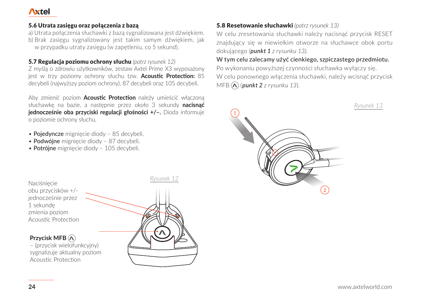### 5.6 Utrata zasięgu oraz połączenia z bazą

a) Utrata połączenia słuchawki z bazą sygnalizowana jest dźwiękiem. b) Brak zasięgu sygnalizowany jest takim samym dźwiękiem, jak w przypadku utraty zasięgu (w zapętleniu, co 5 sekund).

### 5.7 Regulacja poziomu ochrony słuchu *(patrz rysunek 12)*

Z myślą o zdrowiu użytkowników, zestaw Axtel Prime X3 wyposażony jest w trzy poziomy ochrony słuchu tzw. **Acoustic Protection:** 85 decybeli (najwyższy poziom ochrony), 87 decybeli oraz 105 decybeli.

Aby zmienić poziom **Acoustic Protection** należy umieścić włączoną słuchawkę na bazie, a następnie przez około 3 sekundy **nacisnąć jednocześnie oba przyciski regulacji głośności +/–.** Dioda informuje o poziomie ochrony słuchu.

- Pojedyncze mignięcie diody 85 decybeli.
- Podwójne mignięcie diody 87 decybeli.
- Potrójne mignięcie diody 105 decybeli.

5.8 Resetowanie słuchawki *(patrz rysunek 13)*

W celu zresetowania słuchawki należy nacisnąć przycisk RESET znajdujący się w niewielkim otworze na słuchawce obok portu dokującego *(punkt 1 z rysunku 13).*

W tym celu zalecamy użyć cienkiego, szpiczastego przedmiotu. Po wykonaniu powyższej czynności słuchawka wyłączy się. W celu ponownego włączenia słuchawki, należy wcisnąć przycisk MFB (*punkt 2 z rysunku 13*).



Naciśnięcie obu przycisków +/ jednocześnie przez 1 sekundę zmienia poziom Acoustic Protection

### **Przycisk MFB**

– (przycisk wielofunkcyjny) sygnalizuje aktualny poziom Acoustic Protection

*Rysunek 12*

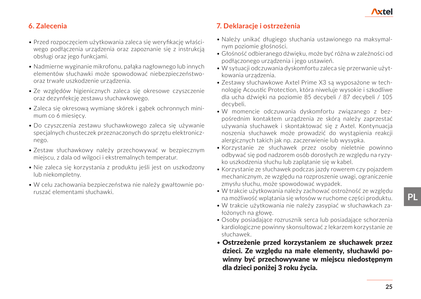

### **6. Zalecenia**

- Przed rozpoczęciem użytkowania zaleca się weryfikację właściwego podłączenia urządzenia oraz zapoznanie się z instrukcją obsługi oraz jego funkcjami.
- Nadmierne wyginanie mikrofonu, pałąka nagłownego lub innych elementów słuchawki może spowodować niebezpieczeństwooraz trwałe uszkodzenie urządzenia.
- Ze względów higienicznych zaleca się okresowe czyszczenie oraz dezynfekcję zestawu słuchawkowego.
- Zaleca się okresową wymianę skórek i gąbek ochronnych minimum co 6 miesięcy.
- Do czyszczenia zestawu słuchawkowego zaleca się używanie specjalnych chusteczek przeznaczonych do sprzętu elektronicznego.
- Zestaw słuchawkowy należy przechowywać w bezpiecznym miejscu, z dala od wilgoci i ekstremalnych temperatur.
- Nie zaleca się korzystania z produktu jeśli jest on uszkodzony lub niekompletny.
- W celu zachowania bezpieczeństwa nie należy gwałtownie poruszać elementami słuchawki.

### **7. Deklaracje i ostrzeżenia**

- Należy unikać długiego słuchania ustawionego na maksymalnym poziomie głośności.
- Głośność odbieranego dźwięku, może być różna w zależności od podłączonego urządzenia i jego ustawień.
- W sytuacji odczuwania dyskomfortu zaleca się przerwanie użytkowania urządzenia.
- Zestawy słuchawkowe Axtel Prime X3 są wyposażone w technologię Acoustic Protection, która niweluje wysokie i szkodliwe dla ucha dźwięki na poziomie 85 decybeli / 87 decybeli / 105 decybeli.
- W momencie odczuwania dyskomfortu związanego z bezpośrednim kontaktem urządzenia ze skórą należy zaprzestać używania słuchawek i skontaktować się z Axtel. Kontynuacja noszenia słuchawek może prowadzić do wystąpienia reakcji alergicznych takich jak np. zaczerwienie lub wysypka.
- Korzystanie ze słuchawek przez osoby nieletnie powinno odbywać się pod nadzorem osób dorosłych ze względu na ryzyko uszkodzenia słuchu lub zaplątanie się w kabel.
- Korzystanie ze słuchawek podczas jazdy rowerem czy pojazdem mechanicznym, ze względu na rozproszenie uwagi, ograniczenie zmysłu słuchu, może spowodować wypadek.
- W trakcie użytkowania należy zachować ostrożność ze względu na możliwość wplątania się włosów w ruchome części produktu.
- W trakcie użytkowania nie należy zasypiać w słuchawkach założonych na głowę.
- Osoby posiadające rozrusznik serca lub posiadające schorzenia kardiologiczne powinny skonsultować z lekarzem korzystanie ze słuchawek.
- Ostrzeżenie przed korzystaniem ze słuchawek przez dzieci. Ze względu na małe elementy, słuchawki powinny być przechowywane w miejscu niedostępnym dla dzieci poniżej 3 roku życia.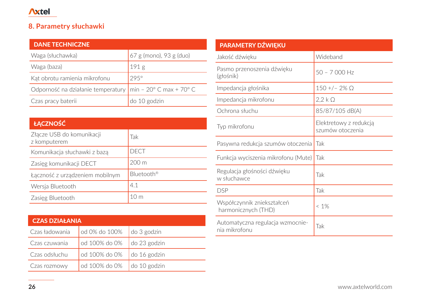# **8. Parametry słuchawki**

| DANE TECHNICZNE                    |                                         |
|------------------------------------|-----------------------------------------|
| Waga (słuchawka)                   | 67 g (mono), 93 g (duo)                 |
| Waga (baza)                        | 191 <sub>g</sub>                        |
| Kat obrotu ramienia mikrofonu      | 295°                                    |
| Odporność na działanie temperatury | $\text{min} - 20^{\circ}$ C max + 70° C |
| Czas pracy baterii                 | do 10 godzin                            |

| ŁACZNOŚĆ                                  |                 |
|-------------------------------------------|-----------------|
| Złącze USB do komunikacji<br>z komputerem | Tak             |
| Komunikacja słuchawki z bazą              | <b>DECT</b>     |
| Zasieg komunikacji DECT                   | $200 \text{ m}$ |
| Łączność z urządzeniem mobilnym           | Bluetooth®      |
| Wersia Bluetooth                          | 4.1             |
| Zasieg Bluetooth                          | 10 <sub>m</sub> |

| <b>CZAS DZIAŁANIA</b> |                                      | Automatyczna regulacja wzmocnie- | Tak           |  |
|-----------------------|--------------------------------------|----------------------------------|---------------|--|
| Czas ładowania        | $\log$ 0% do 100% $\log$ do 3 godzin |                                  | nia mikrofonu |  |
| Czas czuwania         | od 100% do 0% do 23 godzin           |                                  |               |  |
| Czas odsłuchu         | od 100% do 0% do 16 godzin           |                                  |               |  |
| Czas rozmowy          | od 100% do 0% do 10 godzin           |                                  |               |  |

| PARAMETRY DŹWIĘKU                                 |                                            |
|---------------------------------------------------|--------------------------------------------|
| Jakość dźwięku                                    | Wideband                                   |
| Pasmo przenoszenia dźwięku<br>(głośnik)           | $50 - 7000$ Hz                             |
| Impedancja głośnika                               | $150 + (-2\% \Omega)$                      |
| Impedancja mikrofonu                              | 2.2 k                                      |
| Ochrona słuchu                                    | 85/87/105 dB(A)                            |
| Typ mikrofonu                                     | Elektretowy z redukcja<br>szumów otoczenia |
| Pasywna redukcja szumów otoczenia                 | Tak                                        |
| Funkcja wyciszenia mikrofonu (Mute) Tak           |                                            |
| Regulacja głośności dźwięku<br>w słuchawce        | Tak                                        |
| <b>DSP</b>                                        | Tak                                        |
| Współczynnik zniekształceń<br>harmonicznych (THD) | $< 1\%$                                    |
| Automatyczna regulacja wzmocnie-<br>nia mikrofonu | Tak                                        |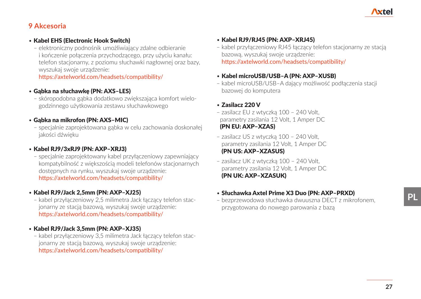### **9 Akcesoria**

### • Kabel EHS (Electronic Hook Switch)

– elektroniczny podnośnik umożliwiający zdalne odbieranie i kończenie połączenia przychodzącego, przy użyciu kanału: telefon stacjonarny, z poziomu słuchawki nagłownej oraz bazy, wyszukaj swoje urządzenie:

https://axtelworld.com/headsets/compatibility/

### • Gąbka na słuchawkę (PN: AXS–LES)

– skóropodobna gąbka dodatkowo zwiększająca komfort wielogodzinnego użytkowania zestawu słuchawkowego

### • Gąbka na mikrofon (PN: AXS–MIC)

– specjalnie zaprojektowana gąbka w celu zachowania doskonałej jakości dźwięku

### • Kabel RJ9/3xRJ9 (PN: AXP–XRJ3)

– specjalnie zaprojektowany kabel przyłączeniowy zapewniający kompatybilność z większością modeli telefonów stacjonarnych dostępnych na rynku, wyszukaj swoje urządzenie: https://axtelworld.com/headsets/compatibility/

### • Kabel RJ9/Jack 2,5mm (PN: AXP–XJ25)

– kabel przyłączeniowy 2,5 milimetra Jack łączący telefon stacjonarny ze stacją bazową, wyszukaj swoje urządzenie: https://axtelworld.com/headsets/compatibility/

### • Kabel RJ9/Jack 3,5mm (PN: AXP–XJ35)

– kabel przyłączeniowy 3,5 milimetra Jack łączący telefon stacjonarny ze stacją bazową, wyszukaj swoje urządzenie: https://axtelworld.com/headsets/compatibility/

### • Kabel RJ9/RJ45 (PN: AXP–XRJ45)

– kabel przyłączeniowy RJ45 łączący telefon stacjonarny ze stacją bazową, wyszukaj swoje urządzenie: https://axtelworld.com/headsets/compatibility/

### • Kabel microUSB/USB–A (PN: AXP–XUSB)

– kabel microUSB/USB–A dający możliwość podłączenia stacji bazowej do komputera

### • Zasilacz 220 V

- zasilacz EU z wtyczką 100 240 Volt, parametry zasilania 12 Volt, 1 Amper DC (PN EU: AXP–XZAS)
- zasilacz US z wtyczką 100 240 Volt, parametry zasilania 12 Volt, 1 Amper DC (PN US: AXP–XZASUS)
- zasilacz UK z wtyczką 100 240 Volt, parametry zasilania 12 Volt, 1 Amper DC (PN UK: AXP–XZASUK)
- Słuchawka Axtel Prime X3 Duo (PN: AXP–PRXD)
- bezprzewodowa słuchawka dwuuszna DECT z mikrofonem, przygotowana do nowego parowania z bazą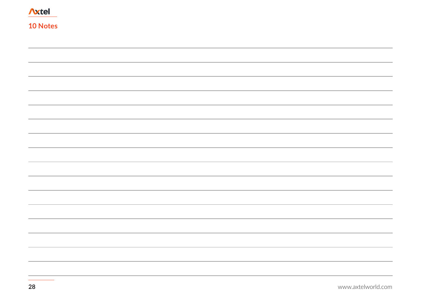| <b>Axtel</b> |
|--------------|
| 10 Notes     |
|              |
|              |
|              |
|              |
|              |
|              |
|              |
|              |
|              |
|              |
|              |
|              |
|              |
|              |
|              |
|              |
|              |
|              |
|              |

 $\overline{\phantom{a}}$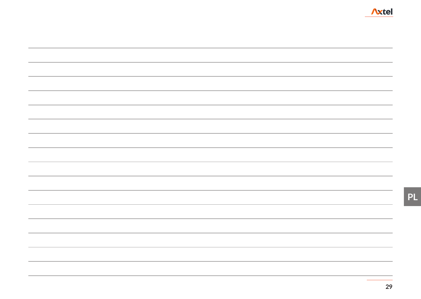| ۰.<br>× |
|---------|
|---------|

| ,我们也不会有什么?""我们的人,我们也不会有什么?""我们的人,我们也不会有什么?""我们的人,我们也不会有什么?""我们的人,我们也不会有什么?""我们的人 |  |
|----------------------------------------------------------------------------------|--|
|                                                                                  |  |
|                                                                                  |  |
|                                                                                  |  |
|                                                                                  |  |
|                                                                                  |  |
|                                                                                  |  |
|                                                                                  |  |
|                                                                                  |  |
|                                                                                  |  |
|                                                                                  |  |
|                                                                                  |  |

**PL**